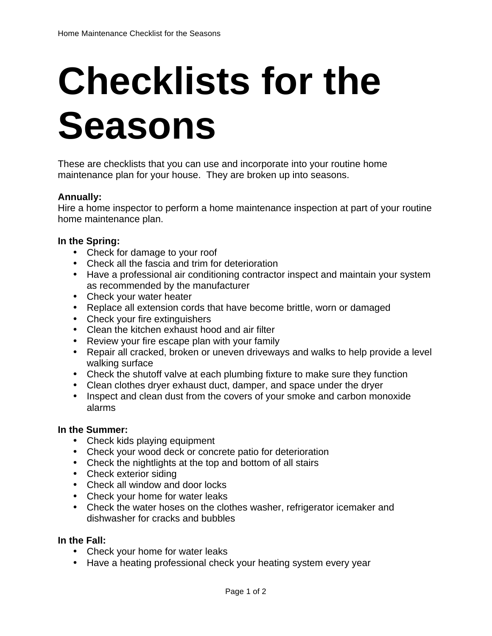# **Checklists for the Seasons**

These are checklists that you can use and incorporate into your routine home maintenance plan for your house. They are broken up into seasons.

# **Annually:**

Hire a home inspector to perform a home maintenance inspection at part of your routine home maintenance plan.

## **In the Spring:**

- Check for damage to your roof
- Check all the fascia and trim for deterioration
- Have a professional air conditioning contractor inspect and maintain your system as recommended by the manufacturer
- Check your water heater
- Replace all extension cords that have become brittle, worn or damaged
- Check your fire extinguishers
- Clean the kitchen exhaust hood and air filter
- Review your fire escape plan with your family
- Repair all cracked, broken or uneven driveways and walks to help provide a level walking surface
- Check the shutoff valve at each plumbing fixture to make sure they function
- Clean clothes dryer exhaust duct, damper, and space under the dryer
- Inspect and clean dust from the covers of your smoke and carbon monoxide alarms

#### **In the Summer:**

- Check kids playing equipment
- Check your wood deck or concrete patio for deterioration
- Check the nightlights at the top and bottom of all stairs
- Check exterior siding
- Check all window and door locks
- Check your home for water leaks
- Check the water hoses on the clothes washer, refrigerator icemaker and dishwasher for cracks and bubbles

#### **In the Fall:**

- Check your home for water leaks
- Have a heating professional check your heating system every year